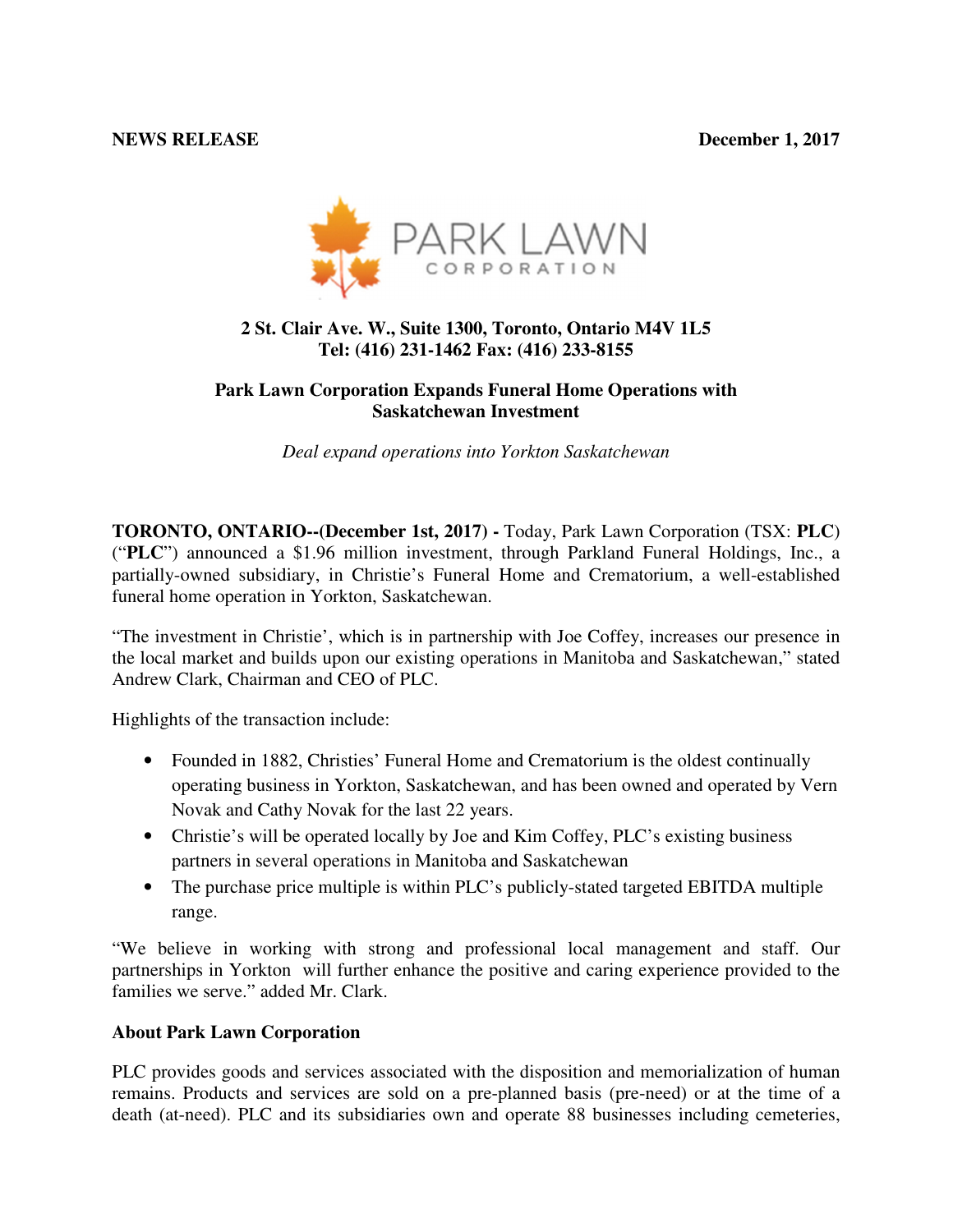#### **NEWS RELEASE December 1, 2017**



# **2 St. Clair Ave. W., Suite 1300, Toronto, Ontario M4V 1L5 Tel: (416) 231-1462 Fax: (416) 233-8155**

### **Park Lawn Corporation Expands Funeral Home Operations with Saskatchewan Investment**

*Deal expand operations into Yorkton Saskatchewan* 

**TORONTO, ONTARIO--(December 1st, 2017) -** Today, Park Lawn Corporation (TSX: **PLC**) ("**PLC**") announced a \$1.96 million investment, through Parkland Funeral Holdings, Inc., a partially-owned subsidiary, in Christie's Funeral Home and Crematorium, a well-established funeral home operation in Yorkton, Saskatchewan.

"The investment in Christie', which is in partnership with Joe Coffey, increases our presence in the local market and builds upon our existing operations in Manitoba and Saskatchewan," stated Andrew Clark, Chairman and CEO of PLC.

Highlights of the transaction include:

- Founded in 1882, Christies' Funeral Home and Crematorium is the oldest continually operating business in Yorkton, Saskatchewan, and has been owned and operated by Vern Novak and Cathy Novak for the last 22 years.
- Christie's will be operated locally by Joe and Kim Coffey, PLC's existing business partners in several operations in Manitoba and Saskatchewan
- The purchase price multiple is within PLC's publicly-stated targeted EBITDA multiple range.

"We believe in working with strong and professional local management and staff. Our partnerships in Yorkton will further enhance the positive and caring experience provided to the families we serve." added Mr. Clark.

# **About Park Lawn Corporation**

PLC provides goods and services associated with the disposition and memorialization of human remains. Products and services are sold on a pre-planned basis (pre-need) or at the time of a death (at-need). PLC and its subsidiaries own and operate 88 businesses including cemeteries,